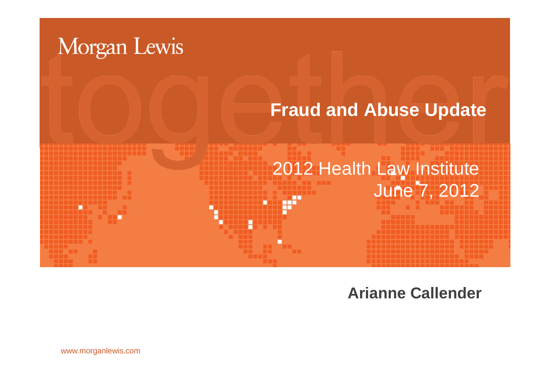

**Arianne Callender**

www.morganlewis.com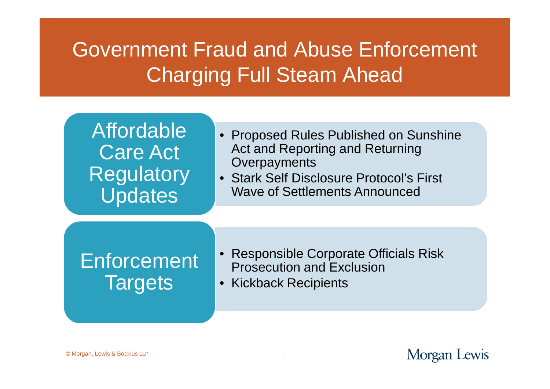# Government Fraud and Abuse Enforcement Charging Full Steam Ahead

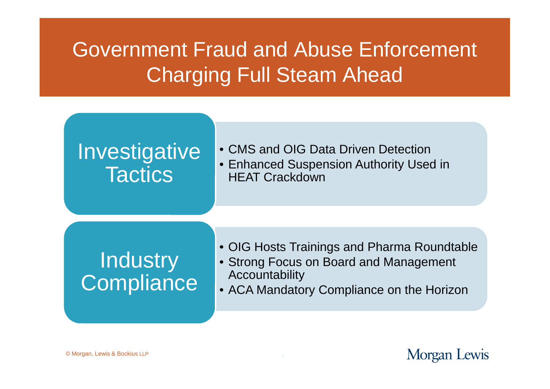# Government Fraud and Abuse Enforcement Charging Full Steam Ahead

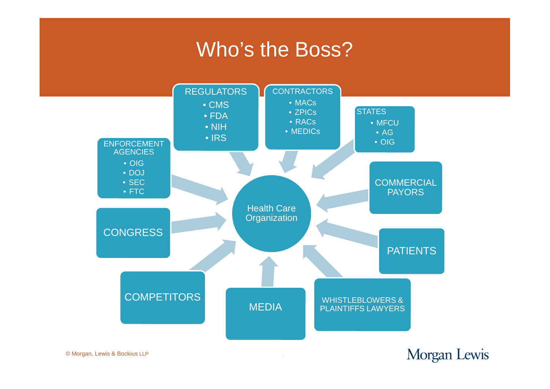### Who's the Boss?



© Morgan, Lewis & Bockius LLP

Morgan Lewis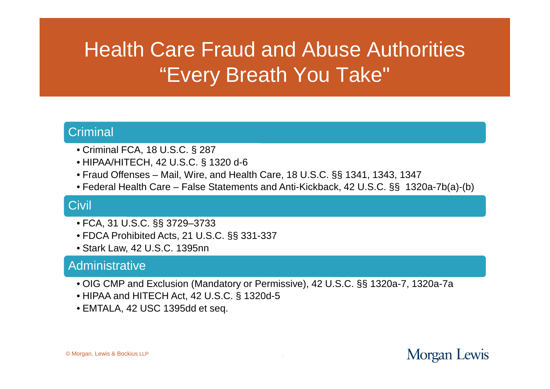# Health Care Fraud and Abuse Authorities "Every Breath You Take"

#### **Criminal**

- Criminal FCA, 18 U.S.C. § 287
- HIPAA/HITECH, 42 U.S.C. § 1320 d-6
- Fraud Offenses Mail, Wire, and Health Care, 18 U.S.C. §§ 1341, 1343, 1347
- Federal Health Care False Statements and Anti-Kickback, 42 U.S.C. §§ 1320a-7b(a)-(b)

#### **Civil**

- FCA, 31 U.S.C. §§ 3729–3733
- FDCA Prohibited Acts, 21 U.S.C. §§ 331-337
- Stark Law, 42 U.S.C. 1395nn

#### **Administrative**

- OIG CMP and Exclusion (Mandatory or Permissive), 42 U.S.C. §§ 1320a-7, 1320a-7a
- HIPAA and HITECH Act, 42 U.S.C. § 1320d-5
- EMTALA, 42 USC 1395dd et seq.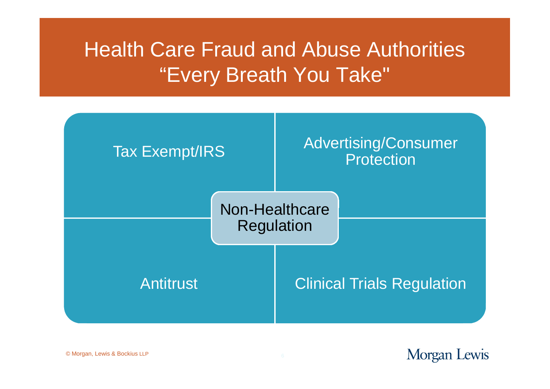# Health Care Fraud and Abuse Authorities "Every Breath You Take"



© Morgan, Lewis & Bockius LLP

Morgan Lewis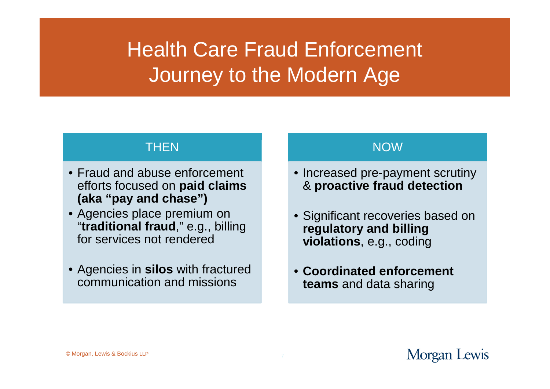#### **THEN**

- Fraud and abuse enforcement efforts focused on **paid claims (aka "pay and chase")**
- Agencies place premium on "**traditional fraud**," e.g., billing for services not rendered
- Agencies in **silos** with fractured communication and missions

#### NOW

- Increased pre-payment scrutiny & **proactive fraud detection**
- Significant recoveries based on **regulatory and billing violations**, e.g., coding
- **Coordinated enforcement teams** and data sharing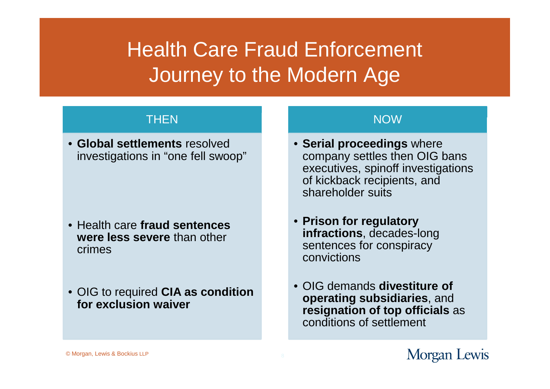#### **THEN**

• **Global settlements** resolved investigations in "one fell swoop"

- Health care **fraud sentences were less severe** than other crimes
- OIG to required **CIA as condition for exclusion waiver**

#### NOW

- **Serial proceedings** where company settles then OIG bans executives, spinoff investigations of kickback recipients, and shareholder suits
- **Prison for regulatory infractions**, decades-long sentences for conspiracy convictions
- OIG demands **divestiture of operating subsidiaries**, and **resignation of top officials** as conditions of settlement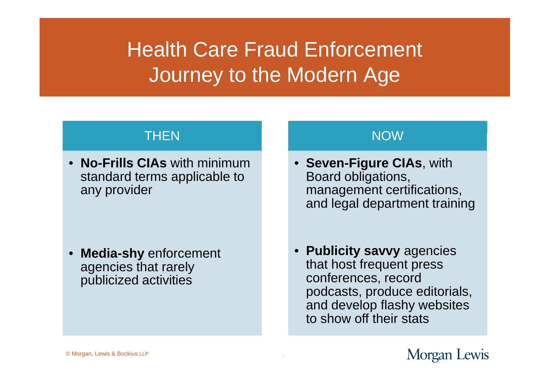#### **THEN**

• **No-Frills CIAs** with minimum standard terms applicable to any provider

• **Media-shy** enforcement agencies that rarely publicized activities

#### NOW

- **Seven-Figure CIAs**, with Board obligations, management certifications, and legal department training
- **Publicity savvy** agencies that host frequent press conferences, record podcasts, produce editorials, and develop flashy websites to show off their stats

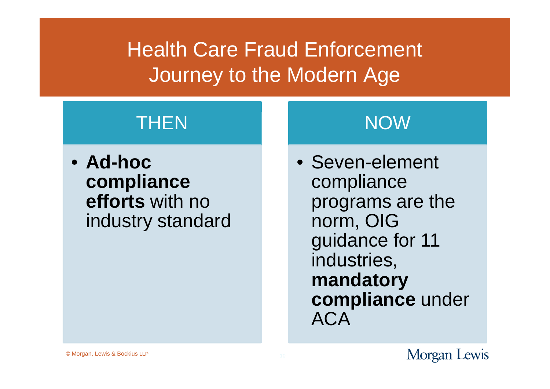### **THEN**

• **Ad-hoc compliance efforts** with no industry standard

### NOW

• Seven-element compliance programs are the norm, OIG guidance for 11 industries, **mandatory compliance** under ACA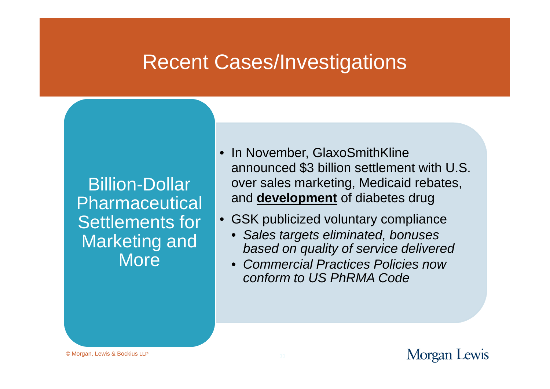Billion-Dollar Pharmaceutical Settlements for Marketing and **More** 

- In November, GlaxoSmithKline announced \$3 billion settlement with U.S. over sales marketing, Medicaid rebates, and **development** of diabetes drug
- GSK publicized voluntary compliance
	- *Sales targets eliminated, bonuses based on quality of service delivered*
	- *Commercial Practices Policies now conform to US PhRMA Code*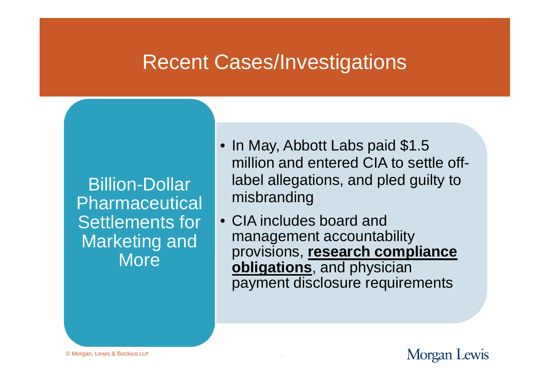Billion-Dollar Pharmaceutical Settlements for Marketing and **More** 

- In May, Abbott Labs paid \$1.5 million and entered CIA to settle offlabel allegations, and pled guilty to misbranding
- CIA includes board and management accountability provisions, **research compliance obligations**, and physician payment disclosure requirements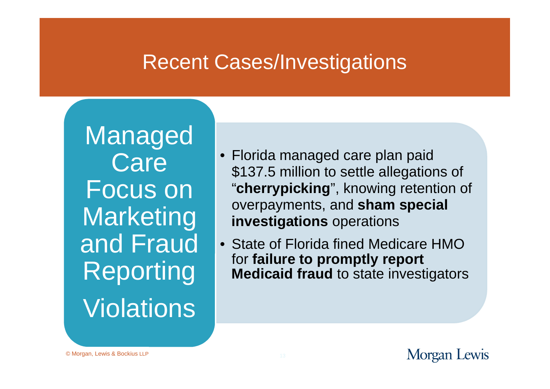Managed **Care** Focus on **Marketing** and Fraud Reporting **Violations** 

- Florida managed care plan paid \$137.5 million to settle allegations of "**cherrypicking**", knowing retention of overpayments, and **sham special investigations** operations
- State of Florida fined Medicare HMO for **failure to promptly report Medicaid fraud** to state investigators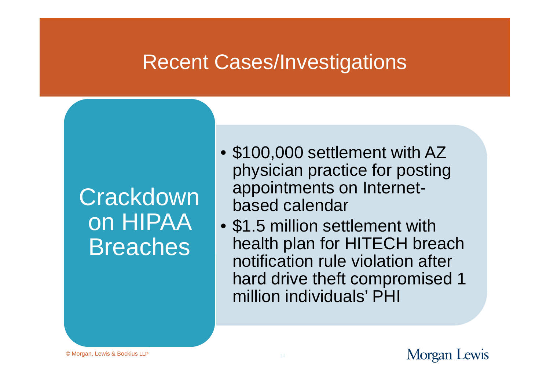# **Crackdown** on HIPAA Breaches

- \$100,000 settlement with AZ physician practice for posting appointments on Internetbased calendar
- \$1.5 million settlement with health plan for HITECH breach notification rule violation after hard drive theft compromised 1 million individuals' PHI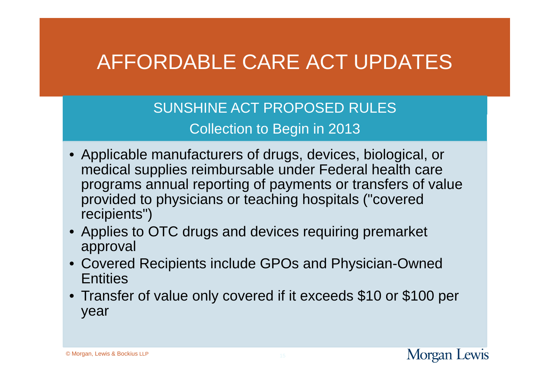# AFFORDABLE CARE ACT UPDATES

SUNSHINE ACT PROPOSED RULES Collection to Begin in 2013

- Applicable manufacturers of drugs, devices, biological, or medical supplies reimbursable under Federal health care programs annual reporting of payments or transfers of value provided to physicians or teaching hospitals ("covered recipients")
- Applies to OTC drugs and devices requiring premarket approval
- Covered Recipients include GPOs and Physician-Owned **Entities**
- Transfer of value only covered if it exceeds \$10 or \$100 per year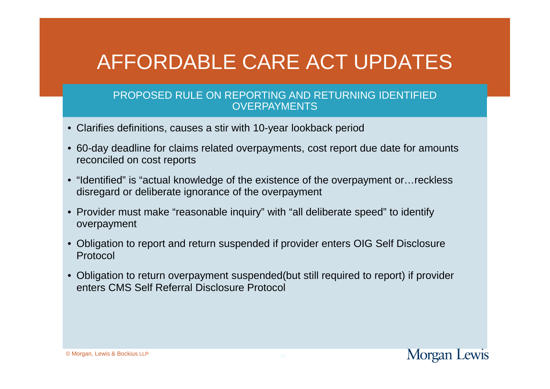# AFFORDABLE CARE ACT UPDATES

#### PROPOSED RULE ON REPORTING AND RETURNING IDENTIFIED **OVERPAYMENTS**

- Clarifies definitions, causes a stir with 10-year lookback period
- 60-day deadline for claims related overpayments, cost report due date for amounts reconciled on cost reports
- "Identified" is "actual knowledge of the existence of the overpayment or…reckless disregard or deliberate ignorance of the overpayment
- Provider must make "reasonable inquiry" with "all deliberate speed" to identify overpayment
- Obligation to report and return suspended if provider enters OIG Self Disclosure Protocol
- Obligation to return overpayment suspended(but still required to report) if provider enters CMS Self Referral Disclosure Protocol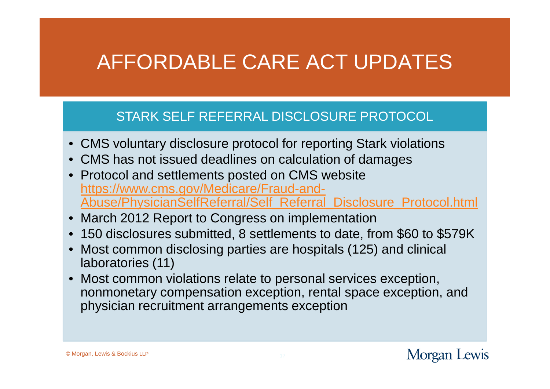# AFFORDABLE CARE ACT UPDATES

#### STARK SELF REFERRAL DISCLOSURE PROTOCOL

- CMS voluntary disclosure protocol for reporting Stark violations
- CMS has not issued deadlines on calculation of damages
- Protocol and settlements posted on CMS website https://www.cms.gov/Medicare/Fraud-and-Abuse/PhysicianSelfReferral/Self\_Referral\_Disclosure\_Protocol.html
- March 2012 Report to Congress on implementation
- 150 disclosures submitted, 8 settlements to date, from \$60 to \$579K
- Most common disclosing parties are hospitals (125) and clinical laboratories (11)
- Most common violations relate to personal services exception, nonmonetary compensation exception, rental space exception, and physician recruitment arrangements exception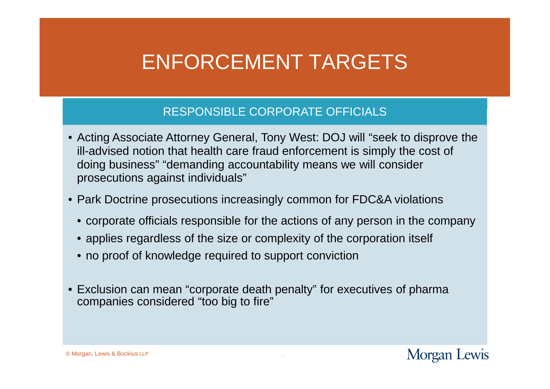#### RESPONSIBLE CORPORATE OFFICIALS

- Acting Associate Attorney General, Tony West: DOJ will "seek to disprove the ill-advised notion that health care fraud enforcement is simply the cost of doing business" "demanding accountability means we will consider prosecutions against individuals"
- Park Doctrine prosecutions increasingly common for FDC&A violations
	- corporate officials responsible for the actions of any person in the company
	- applies regardless of the size or complexity of the corporation itself
	- no proof of knowledge required to support conviction
- Exclusion can mean "corporate death penalty" for executives of pharma companies considered "too big to fire"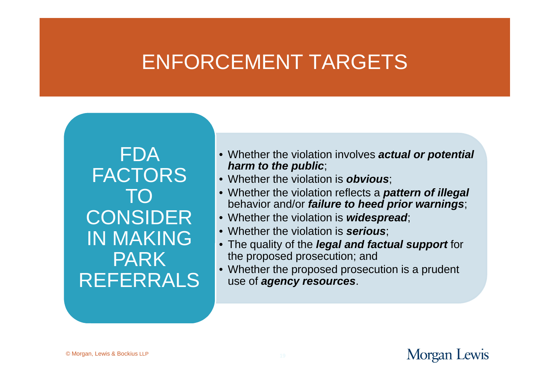FDA FACTORS TO **CONSIDER** IN MAKING PARK REFERRALS

- Whether the violation involves *actual or potential harm to the public*;
- Whether the violation is *obvious*;
- Whether the violation reflects a *pattern of illegal* behavior and/or *failure to heed prior warnings*;
- Whether the violation is *widespread*;
- Whether the violation is *serious*;
- The quality of the *legal and factual support* for the proposed prosecution; and
- Whether the proposed prosecution is a prudent use of *agency resources*.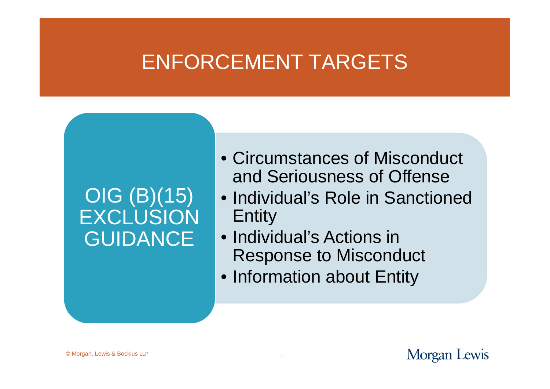### OIG (B)(15) EXCLUSION **GUIDANCE**

- Circumstances of Misconduct and Seriousness of Offense
- Individual's Role in Sanctioned Entity
- Individual's Actions in Response to Misconduct
- Information about Entity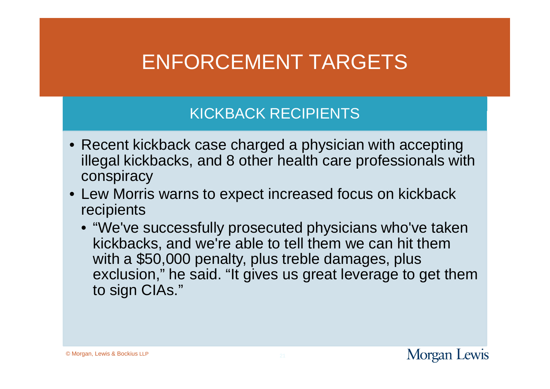#### KICKBACK RECIPIENTS

- Recent kickback case charged a physician with accepting illegal kickbacks, and 8 other health care professionals with conspiracy
- Lew Morris warns to expect increased focus on kickback recipients
	- "We've successfully prosecuted physicians who've taken kickbacks, and we're able to tell them we can hit them with a \$50,000 penalty, plus treble damages, plus exclusion," he said. "It gives us great leverage to get them to sign CIAs."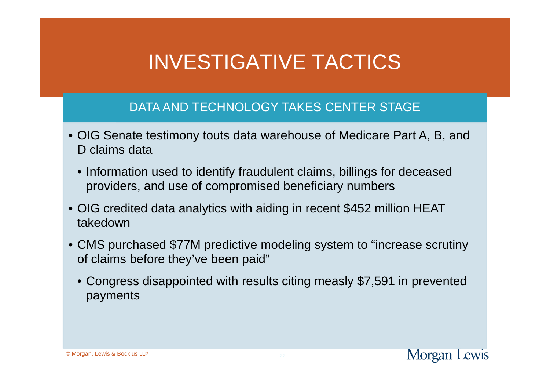# INVESTIGATIVE TACTICS

#### DATA AND TECHNOLOGY TAKES CENTER STAGE

- OIG Senate testimony touts data warehouse of Medicare Part A, B, and D claims data
	- Information used to identify fraudulent claims, billings for deceased providers, and use of compromised beneficiary numbers
- OIG credited data analytics with aiding in recent \$452 million HEAT takedown
- CMS purchased \$77M predictive modeling system to "increase scrutiny of claims before they've been paid"
	- Congress disappointed with results citing measly \$7,591 in prevented payments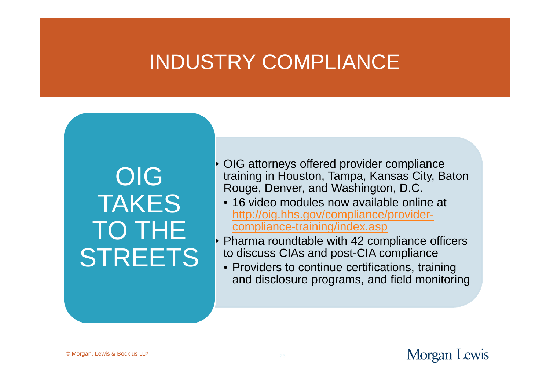### INDUSTRY COMPLIANCE

OIG TAKES TO THE **STREETS**  • OIG attorneys offered provider compliance training in Houston, Tampa, Kansas City, Baton Rouge, Denver, and Washington, D.C.

- 16 video modules now available online at http://oig.hhs.gov/compliance/providercompliance-training/index.asp
- Pharma roundtable with 42 compliance officers to discuss CIAs and post-CIA compliance
	- Providers to continue certifications, training and disclosure programs, and field monitoring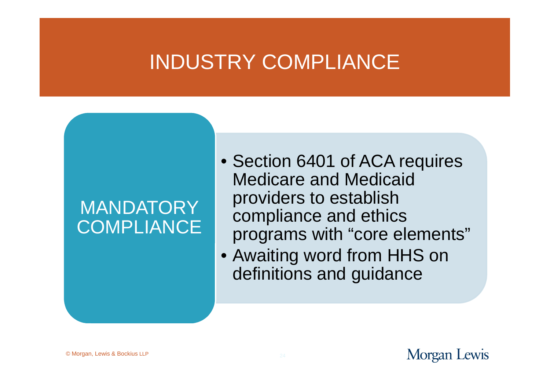### INDUSTRY COMPLIANCE

### **MANDATORY COMPLIANCE**

- Section 6401 of ACA requires Medicare and Medicaid providers to establish compliance and ethics programs with "core elements"
- Awaiting word from HHS on definitions and guidance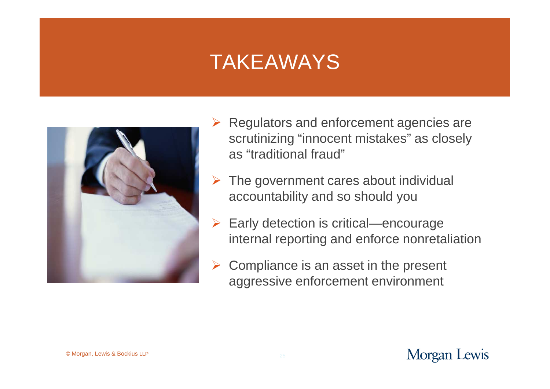### TAKEAWAYS



- $\triangleright$  Regulators and enforcement agencies are scrutinizing "innocent mistakes" as closely as "traditional fraud"
- $\triangleright$  The government cares about individual accountability and so should you
- $\triangleright$  Early detection is critical—encourage internal reporting and enforce nonretaliation
- $\triangleright$  Compliance is an asset in the present aggressive enforcement environment